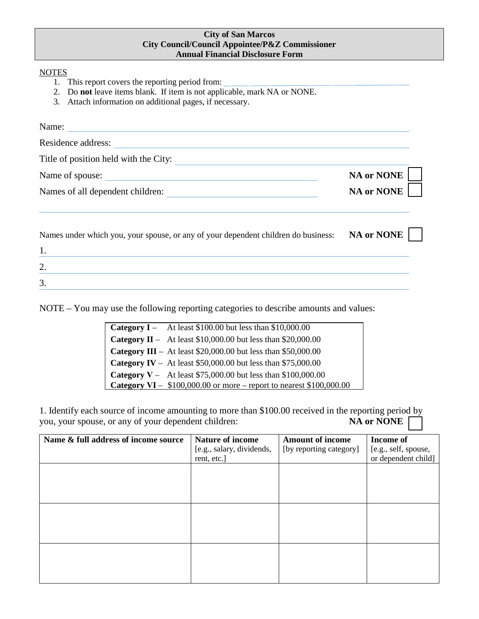## **City of San Marcos City Council/Council Appointee/P&Z Commissioner Annual Financial Disclosure Form**

## **NOTES**

- 1. This report covers the reporting period from:
- 2. Do **not** leave items blank. If item is not applicable, mark NA or NONE.
- 3. Attach information on additional pages, if necessary.

| Name:<br>Residence address:           |                |
|---------------------------------------|----------------|
| Title of position held with the City: |                |
| Name of spouse:                       | NA or NONE $ $ |
| Names of all dependent children:      | NA or NONE     |

| Names under which you, your spouse, or any of your dependent children do business: | <b>NA or NONE</b> |  |
|------------------------------------------------------------------------------------|-------------------|--|
|                                                                                    |                   |  |
|                                                                                    |                   |  |
|                                                                                    |                   |  |

NOTE – You may use the following reporting categories to describe amounts and values:

| <b>Category I</b> – At least \$100.00 but less than \$10,000.00              |
|------------------------------------------------------------------------------|
| <b>Category II</b> – At least \$10,000.00 but less than \$20,000.00          |
| <b>Category III</b> – At least \$20,000.00 but less than \$50,000.00         |
| <b>Category IV</b> – At least \$50,000.00 but less than \$75,000.00          |
| <b>Category V</b> – At least \$75,000.00 but less than \$100,000.00          |
| <b>Category VI</b> – $$100,000.00$ or more – report to nearest $$100,000.00$ |
|                                                                              |

1. Identify each source of income amounting to more than \$100.00 received in the reporting period by you, your spouse, or any of your dependent children:<br> **NA or NONE** you, your spouse, or any of your dependent children:

| Name & full address of income source | Nature of income<br>[e.g., salary, dividends, | <b>Amount of income</b><br>[by reporting category] | <b>Income of</b><br>[e.g., self, spouse, |
|--------------------------------------|-----------------------------------------------|----------------------------------------------------|------------------------------------------|
|                                      | rent, etc.]                                   |                                                    | or dependent child]                      |
|                                      |                                               |                                                    |                                          |
|                                      |                                               |                                                    |                                          |
|                                      |                                               |                                                    |                                          |
|                                      |                                               |                                                    |                                          |
|                                      |                                               |                                                    |                                          |
|                                      |                                               |                                                    |                                          |
|                                      |                                               |                                                    |                                          |
|                                      |                                               |                                                    |                                          |
|                                      |                                               |                                                    |                                          |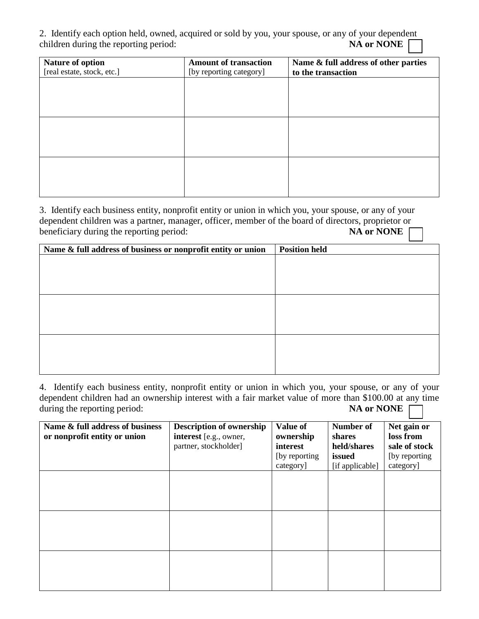2. Identify each option held, owned, acquired or sold by you, your spouse, or any of your dependent children during the reporting period: **NA or NONE** 

| Nature of option           | <b>Amount of transaction</b> | Name & full address of other parties |
|----------------------------|------------------------------|--------------------------------------|
| [real estate, stock, etc.] | [by reporting category]      | to the transaction                   |
|                            |                              |                                      |
|                            |                              |                                      |
|                            |                              |                                      |
|                            |                              |                                      |
|                            |                              |                                      |
|                            |                              |                                      |
|                            |                              |                                      |
|                            |                              |                                      |
|                            |                              |                                      |
|                            |                              |                                      |
|                            |                              |                                      |

3. Identify each business entity, nonprofit entity or union in which you, your spouse, or any of your dependent children was a partner, manager, officer, member of the board of directors, proprietor or beneficiary during the reporting period:<br>NA or NONE beneficiary during the reporting period:

| Name & full address of business or nonprofit entity or union | <b>Position held</b> |
|--------------------------------------------------------------|----------------------|
|                                                              |                      |
|                                                              |                      |
|                                                              |                      |
|                                                              |                      |
|                                                              |                      |
|                                                              |                      |
|                                                              |                      |
|                                                              |                      |
|                                                              |                      |
|                                                              |                      |

4. Identify each business entity, nonprofit entity or union in which you, your spouse, or any of your dependent children had an ownership interest with a fair market value of more than \$100.00 at any time during the reporting period:<br> **NA or NONE** during the reporting period:

| Name & full address of business<br>or nonprofit entity or union | <b>Description of ownership</b><br>interest [e.g., owner,<br>partner, stockholder] | <b>Value of</b><br>ownership<br>interest<br>[by reporting]<br>category] | Number of<br>shares<br>held/shares<br>issued<br>[if applicable] | Net gain or<br>loss from<br>sale of stock<br>[by reporting]<br>category] |
|-----------------------------------------------------------------|------------------------------------------------------------------------------------|-------------------------------------------------------------------------|-----------------------------------------------------------------|--------------------------------------------------------------------------|
|                                                                 |                                                                                    |                                                                         |                                                                 |                                                                          |
|                                                                 |                                                                                    |                                                                         |                                                                 |                                                                          |
|                                                                 |                                                                                    |                                                                         |                                                                 |                                                                          |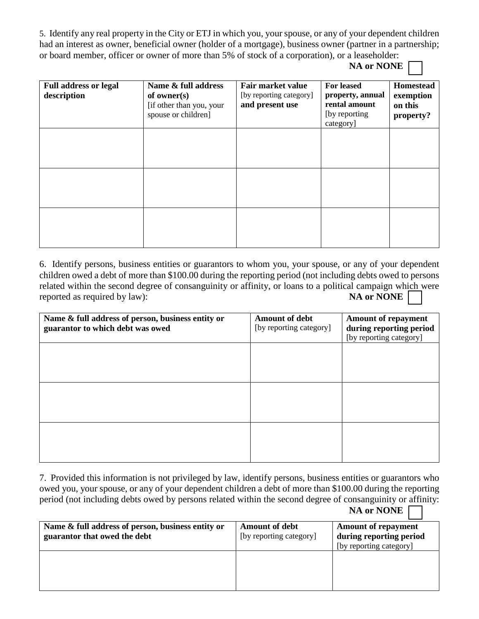5. Identify any real property in the City or ETJ in which you, your spouse, or any of your dependent children had an interest as owner, beneficial owner (holder of a mortgage), business owner (partner in a partnership; or board member, officer or owner of more than 5% of stock of a corporation), or a leaseholder:

**NA or NONE**

| <b>Full address or legal</b><br>description | Name & full address<br>of owner $(s)$<br>[if other than you, your<br>spouse or children] | Fair market value<br>[by reporting category]<br>and present use | <b>For leased</b><br>property, annual<br>rental amount<br>[by reporting]<br>category] | <b>Homestead</b><br>exemption<br>on this<br>property? |
|---------------------------------------------|------------------------------------------------------------------------------------------|-----------------------------------------------------------------|---------------------------------------------------------------------------------------|-------------------------------------------------------|
|                                             |                                                                                          |                                                                 |                                                                                       |                                                       |
|                                             |                                                                                          |                                                                 |                                                                                       |                                                       |
|                                             |                                                                                          |                                                                 |                                                                                       |                                                       |

6. Identify persons, business entities or guarantors to whom you, your spouse, or any of your dependent children owed a debt of more than \$100.00 during the reporting period (not including debts owed to persons related within the second degree of consanguinity or affinity, or loans to a political campaign which were reported as required by law): **NA** or NONE

| Name & full address of person, business entity or<br>guarantor to which debt was owed | <b>Amount of debt</b><br>[by reporting category] | <b>Amount of repayment</b><br>during reporting period<br>[by reporting category] |
|---------------------------------------------------------------------------------------|--------------------------------------------------|----------------------------------------------------------------------------------|
|                                                                                       |                                                  |                                                                                  |
|                                                                                       |                                                  |                                                                                  |
|                                                                                       |                                                  |                                                                                  |
|                                                                                       |                                                  |                                                                                  |

7. Provided this information is not privileged by law, identify persons, business entities or guarantors who owed you, your spouse, or any of your dependent children a debt of more than \$100.00 during the reporting period (not including debts owed by persons related within the second degree of consanguinity or affinity: **NA or NONE**

| Name & full address of person, business entity or | <b>Amount of debt</b>   | <b>Amount of repayment</b> |
|---------------------------------------------------|-------------------------|----------------------------|
| guarantor that owed the debt                      | [by reporting category] | during reporting period    |
|                                                   |                         | [by reporting category]    |
|                                                   |                         |                            |
|                                                   |                         |                            |
|                                                   |                         |                            |
|                                                   |                         |                            |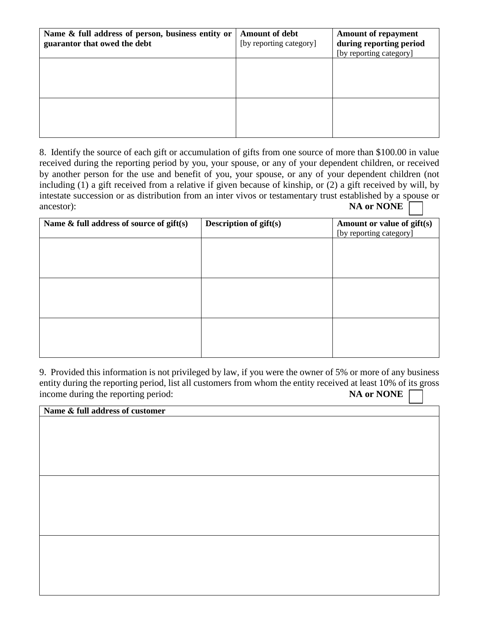| Name & full address of person, business entity or<br>guarantor that owed the debt | <b>Amount of debt</b><br>[by reporting category] | <b>Amount of repayment</b><br>during reporting period<br>[by reporting category] |
|-----------------------------------------------------------------------------------|--------------------------------------------------|----------------------------------------------------------------------------------|
|                                                                                   |                                                  |                                                                                  |
|                                                                                   |                                                  |                                                                                  |

8. Identify the source of each gift or accumulation of gifts from one source of more than \$100.00 in value received during the reporting period by you, your spouse, or any of your dependent children, or received by another person for the use and benefit of you, your spouse, or any of your dependent children (not including (1) a gift received from a relative if given because of kinship, or (2) a gift received by will, by intestate succession or as distribution from an inter vivos or testamentary trust established by a spouse or ancestor): **NA or NONE**

| Name $\&$ full address of source of gift(s) | <b>Description of gift(s)</b> | Amount or value of gift(s)<br>[by reporting category] |
|---------------------------------------------|-------------------------------|-------------------------------------------------------|
|                                             |                               |                                                       |
|                                             |                               |                                                       |
|                                             |                               |                                                       |
|                                             |                               |                                                       |
|                                             |                               |                                                       |
|                                             |                               |                                                       |

9. Provided this information is not privileged by law, if you were the owner of 5% or more of any business entity during the reporting period, list all customers from whom the entity received at least 10% of its gross income during the reporting period: **NA or NONE** 

| Name & full address of customer |  |
|---------------------------------|--|
|                                 |  |
|                                 |  |
|                                 |  |
|                                 |  |
|                                 |  |
|                                 |  |
|                                 |  |
|                                 |  |
|                                 |  |
|                                 |  |
|                                 |  |
|                                 |  |
|                                 |  |
|                                 |  |
|                                 |  |
|                                 |  |